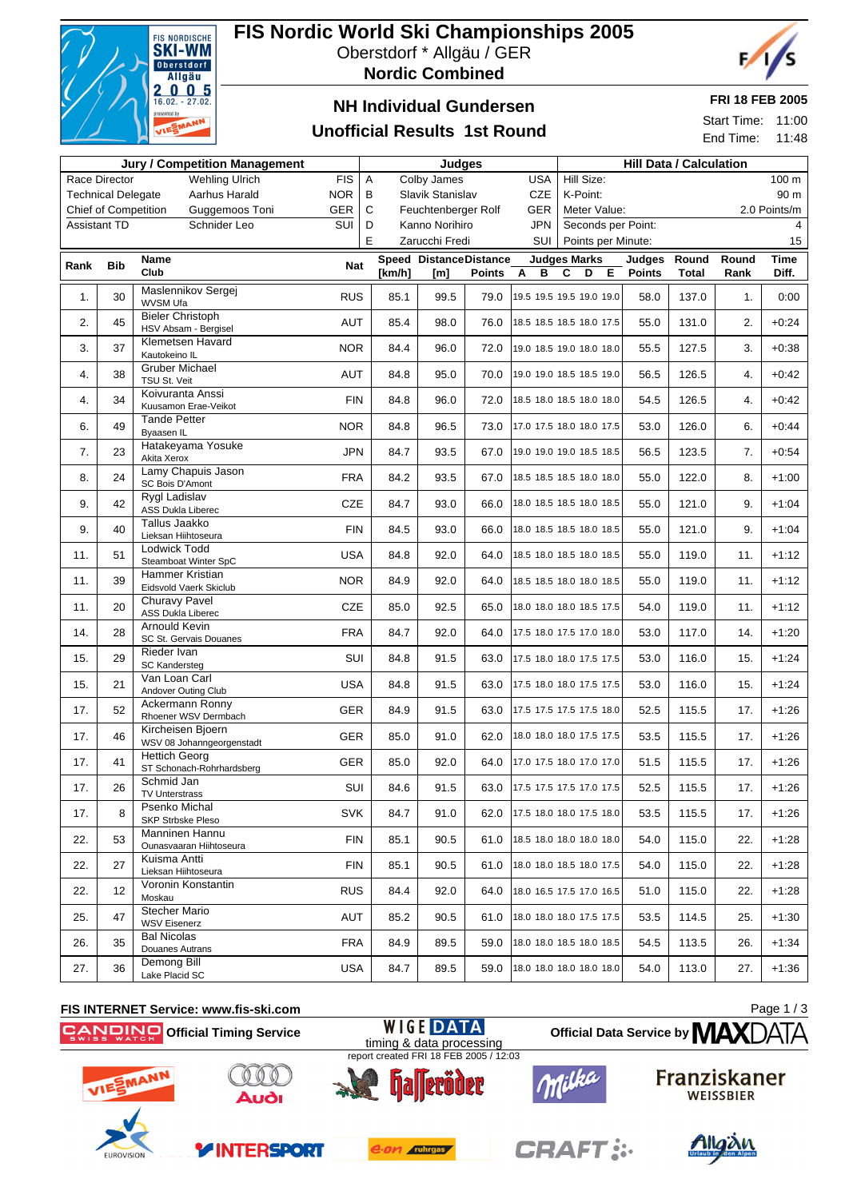

# **FIS Nordic World Ski Championships 2005**

Oberstdorf \* Allgäu / GER

**Nordic Combined**



## **NH Individual Gundersen**

### **Unofficial Results 1st Round**

**FRI 18 FEB 2005**

Start Time: 11:00 End Time: 11:48

| <b>Jury / Competition Management</b>   |                           |                                                              |                                            |                | <b>Judges</b>                 |               |                              | <b>Hill Data / Calculation</b>     |                         |                       |               |               |  |  |
|----------------------------------------|---------------------------|--------------------------------------------------------------|--------------------------------------------|----------------|-------------------------------|---------------|------------------------------|------------------------------------|-------------------------|-----------------------|---------------|---------------|--|--|
|                                        | Race Director             | <b>Wehling Ulrich</b>                                        | <b>FIS</b>                                 | Α              | Colby James                   |               | <b>USA</b>                   | Hill Size:                         |                         |                       |               | 100 m         |  |  |
|                                        | <b>Technical Delegate</b> | Aarhus Harald                                                | <b>NOR</b>                                 | B              | Slavik Stanislav              |               | <b>CZE</b>                   | K-Point:<br>90 m                   |                         |                       |               |               |  |  |
| Chief of Competition<br>Guggemoos Toni |                           | <b>GER</b>                                                   | $\mathsf{C}$<br>GER<br>Feuchtenberger Rolf |                |                               |               | Meter Value:<br>2.0 Points/m |                                    |                         |                       |               |               |  |  |
| Schnider Leo<br>Assistant TD           |                           | SUI                                                          | D                                          | Kanno Norihiro |                               | <b>JPN</b>    | Seconds per Point:<br>4      |                                    |                         |                       |               |               |  |  |
|                                        |                           |                                                              |                                            | E              | Zarucchi Fredi                |               | SUI                          | Points per Minute:                 |                         |                       |               | 15            |  |  |
| Rank                                   | <b>Bib</b>                | Name<br>Club                                                 | <b>Nat</b>                                 | [km/h]         | Speed DistanceDistance<br>[m] | <b>Points</b> | Α<br>в                       | <b>Judges Marks</b><br>C<br>D<br>E | Judges<br><b>Points</b> | Round<br><b>Total</b> | Round<br>Rank | Time<br>Diff. |  |  |
| 1.                                     | 30                        | Maslennikov Sergej<br>WVSM Ufa                               | <b>RUS</b>                                 | 85.1           | 99.5                          | 79.0          |                              | 19.5 19.5 19.5 19.0 19.0           | 58.0                    | 137.0                 | 1.            | 0:00          |  |  |
| 2.                                     | 45                        | <b>Bieler Christoph</b><br>HSV Absam - Bergisel              | <b>AUT</b>                                 | 85.4           | 98.0                          | 76.0          |                              | 18.5 18.5 18.5 18.0 17.5           | 55.0                    | 131.0                 | 2.            | $+0:24$       |  |  |
| 3.                                     | 37                        | Klemetsen Havard<br>Kautokeino IL                            | <b>NOR</b>                                 | 84.4           | 96.0                          | 72.0          |                              | 19.0 18.5 19.0 18.0 18.0           | 55.5                    | 127.5                 | 3.            | $+0:38$       |  |  |
| 4.                                     | 38                        | <b>Gruber Michael</b><br>TSU St. Veit                        | <b>AUT</b>                                 | 84.8           | 95.0                          | 70.0          |                              | 19.0 19.0 18.5 18.5 19.0           | 56.5                    | 126.5                 | 4.            | $+0:42$       |  |  |
| 4.                                     | 34                        | Koivuranta Anssi<br>Kuusamon Erae-Veikot                     | <b>FIN</b>                                 | 84.8           | 96.0                          | 72.0          |                              | 18.5 18.0 18.5 18.0 18.0           | 54.5                    | 126.5                 | 4.            | $+0:42$       |  |  |
| 6.                                     | 49                        | <b>Tande Petter</b><br>Byaasen IL                            | <b>NOR</b>                                 | 84.8           | 96.5                          | 73.0          |                              | 17.0 17.5 18.0 18.0 17.5           | 53.0                    | 126.0                 | 6.            | $+0:44$       |  |  |
| 7.                                     | 23                        | Hatakeyama Yosuke<br>Akita Xerox                             | <b>JPN</b>                                 | 84.7           | 93.5                          | 67.0          |                              | 19.0 19.0 19.0 18.5 18.5           | 56.5                    | 123.5                 | 7.            | $+0:54$       |  |  |
| 8.                                     | 24                        | Lamy Chapuis Jason<br>SC Bois D'Amont                        | <b>FRA</b>                                 | 84.2           | 93.5                          | 67.0          |                              | 18.5 18.5 18.5 18.0 18.0           | 55.0                    | 122.0                 | 8.            | $+1:00$       |  |  |
| 9.                                     | 42                        | Rygl Ladislav<br><b>ASS Dukla Liberec</b>                    | CZE                                        | 84.7           | 93.0                          | 66.0          |                              | 18.0 18.5 18.5 18.0 18.5           | 55.0                    | 121.0                 | 9.            | $+1:04$       |  |  |
| 9.                                     | 40                        | Tallus Jaakko<br>Lieksan Hiihtoseura                         | <b>FIN</b>                                 | 84.5           | 93.0                          | 66.0          |                              | 18.0 18.5 18.5 18.0 18.5           | 55.0                    | 121.0                 | 9.            | $+1:04$       |  |  |
| 11.                                    | 51                        | Lodwick Todd<br>Steamboat Winter SpC                         | <b>USA</b>                                 | 84.8           | 92.0                          | 64.0          |                              | 18.5 18.0 18.5 18.0 18.5           | 55.0                    | 119.0                 | 11.           | $+1:12$       |  |  |
| 11.                                    | 39                        | Hammer Kristian<br>Eidsvold Vaerk Skiclub                    | <b>NOR</b>                                 | 84.9           | 92.0                          | 64.0          |                              | 18.5 18.5 18.0 18.0 18.5           | 55.0                    | 119.0                 | 11.           | $+1:12$       |  |  |
| 11.                                    | 20                        | Churavy Pavel<br><b>ASS Dukla Liberec</b>                    | CZE                                        | 85.0           | 92.5                          | 65.0          |                              | 18.0 18.0 18.0 18.5 17.5           | 54.0                    | 119.0                 | 11.           | $+1:12$       |  |  |
| 14.                                    | 28                        | Arnould Kevin<br>SC St. Gervais Douanes                      | <b>FRA</b>                                 | 84.7           | 92.0                          | 64.0          |                              | 17.5 18.0 17.5 17.0 18.0           | 53.0                    | 117.0                 | 14.           | $+1:20$       |  |  |
| 15.                                    | 29                        | Rieder Ivan<br>SC Kandersteg                                 | SUI                                        | 84.8           | 91.5                          | 63.0          |                              | 17.5 18.0 18.0 17.5 17.5           | 53.0                    | 116.0                 | 15.           | $+1:24$       |  |  |
| 15.                                    | 21                        | Van Loan Carl<br>Andover Outing Club                         | <b>USA</b>                                 | 84.8           | 91.5                          | 63.0          |                              | 17.5 18.0 18.0 17.5 17.5           | 53.0                    | 116.0                 | 15.           | $+1:24$       |  |  |
| 17.                                    | 52                        | Ackermann Ronny<br>Rhoener WSV Dermbach<br>Kircheisen Bjoern | GER                                        | 84.9           | 91.5                          |               |                              | 63.0 17.5 17.5 17.5 17.5 18.0      | 52.5                    | 115.5                 | 17.           | $+1:26$       |  |  |
| 17.                                    | 46                        | WSV 08 Johanngeorgenstadt<br><b>Hettich Georg</b>            | <b>GER</b>                                 | 85.0           | 91.0                          | 62.0          |                              | 18.0 18.0 18.0 17.5 17.5           | 53.5                    | 115.5                 | 17.           | $+1:26$       |  |  |
| 17.                                    | 41                        | ST Schonach-Rohrhardsberg                                    | GER                                        | 85.0           | 92.0                          |               |                              | 64.0 17.0 17.5 18.0 17.0 17.0      | 51.5                    | 115.5                 | 17.           | $+1:26$       |  |  |
| 17.                                    | 26                        | Schmid Jan<br>TV Unterstrass<br>Psenko Michal                | SUI                                        | 84.6           | 91.5                          |               |                              | 63.0 17.5 17.5 17.5 17.0 17.5      | 52.5                    | 115.5                 | 17.           | $+1:26$       |  |  |
| 17.                                    | 8                         | SKP Strbske Pleso                                            | SVK                                        | 84.7           | 91.0                          |               |                              | 62.0 17.5 18.0 18.0 17.5 18.0      | 53.5                    | 115.5                 | 17.           | $+1:26$       |  |  |
| 22.                                    | 53                        | Manninen Hannu<br>Ounasvaaran Hiihtoseura                    | <b>FIN</b>                                 | 85.1           | 90.5                          |               |                              | 61.0 18.5 18.0 18.0 18.0 18.0      | 54.0                    | 115.0                 | 22.           | $+1:28$       |  |  |
| 22.                                    | 27                        | Kuisma Antti<br>Lieksan Hiihtoseura                          | <b>FIN</b>                                 | 85.1           | 90.5                          |               |                              | 61.0   18.0 18.0 18.5 18.0 17.5    | 54.0                    | 115.0                 | 22.           | $+1:28$       |  |  |
| 22.                                    | 12                        | Voronin Konstantin<br>Moskau                                 | <b>RUS</b>                                 | 84.4           | 92.0                          |               |                              | 64.0 18.0 16.5 17.5 17.0 16.5      | 51.0                    | 115.0                 | 22.           | $+1:28$       |  |  |
| 25.                                    | 47                        | <b>Stecher Mario</b><br><b>WSV Eisenerz</b>                  | AUT                                        | 85.2           | 90.5                          |               |                              | 61.0 18.0 18.0 18.0 17.5 17.5      | 53.5                    | 114.5                 | 25.           | $+1:30$       |  |  |
| 26.                                    | 35                        | <b>Bal Nicolas</b><br>Douanes Autrans                        | FRA                                        | 84.9           | 89.5                          |               |                              | 59.0 18.0 18.0 18.5 18.0 18.5      | 54.5                    | 113.5                 | 26.           | $+1:34$       |  |  |
| 27.                                    | 36                        | Demong Bill<br>Lake Placid SC                                | USA                                        | 84.7           | 89.5                          |               |                              | 59.0 18.0 18.0 18.0 18.0 18.0      | 54.0                    | 113.0                 | 27.           | $+1:36$       |  |  |

#### **FIS INTERNET Service: www.fis-ski.com**

**Official Timing Service**

Page 1 / 3**WIGE DATA Official Data Service by MAX** timing & data processing report created FRI 18 FEB 2005 / 12:03



**EUROVISIOI** 



**YINTERSPORT** 



e.on ruhrgas



**CRAFT:** 



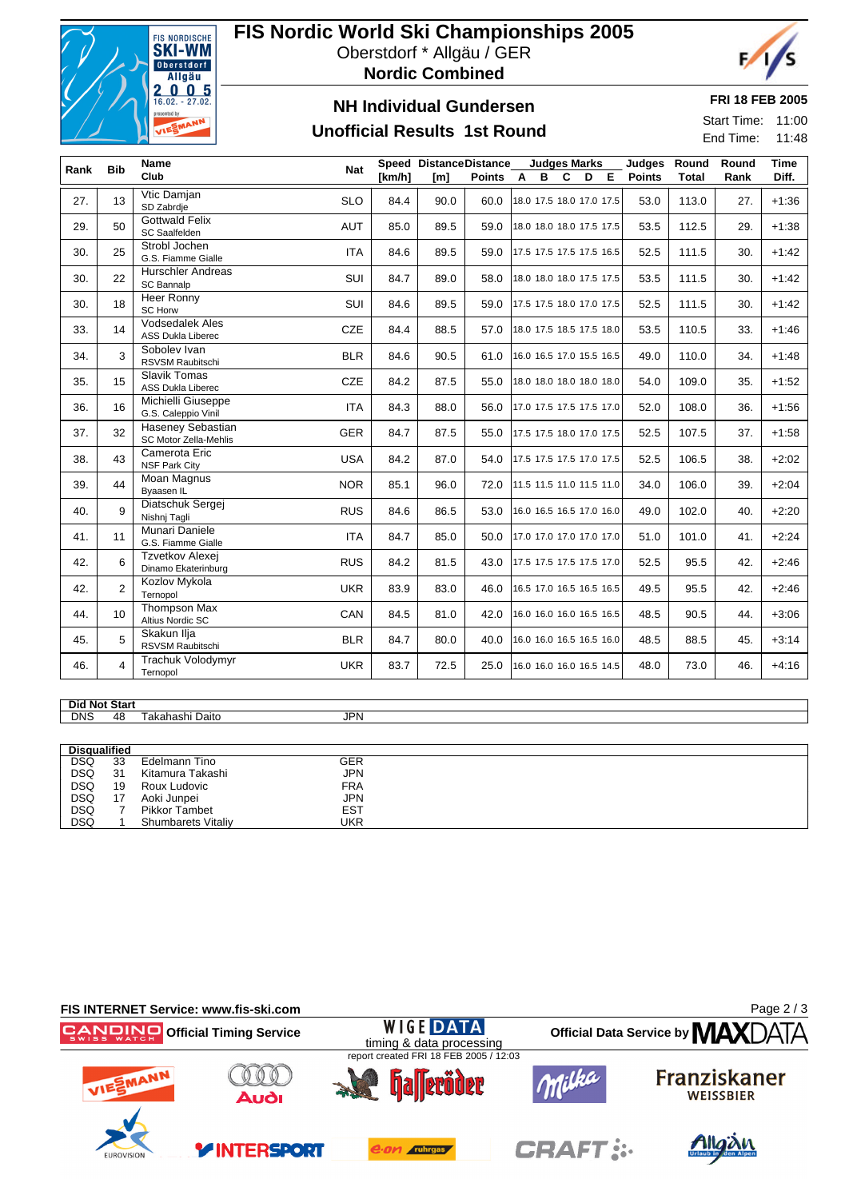

# **FIS Nordic World Ski Championships 2005**

Oberstdorf \* Allgäu / GER



### **NH Individual Gundersen**

### **Unofficial Results 1st Round**

#### **FRI 18 FEB 2005**

F,

Start Time: 11:00 End Time: 11:48

| <b>Bib</b><br>Rank |                 | <b>Name</b>                                       | <b>Nat</b> |        | Speed DistanceDistance |                               |  | <b>Judges Marks</b> |         |  |                          | Judges     | Round        | Round | <b>Time</b> |
|--------------------|-----------------|---------------------------------------------------|------------|--------|------------------------|-------------------------------|--|---------------------|---------|--|--------------------------|------------|--------------|-------|-------------|
|                    |                 | Club                                              |            | [km/h] | [m]                    | Points A                      |  |                     | C<br>B. |  |                          | D E Points | <b>Total</b> | Rank  | Diff.       |
| 27.                | 13              | Vtic Damjan<br>SD Zabrdje                         | <b>SLO</b> | 84.4   | 90.0                   | 60.0                          |  |                     |         |  | 18.0 17.5 18.0 17.0 17.5 | 53.0       | 113.0        | 27.   | $+1:36$     |
| 29.                | 50              | <b>Gottwald Felix</b><br>SC Saalfelden            | AUT        | 85.0   | 89.5                   | 59.0                          |  |                     |         |  | 18.0 18.0 18.0 17.5 17.5 | 53.5       | 112.5        | 29.   | $+1:38$     |
| 30.                | 25              | Strobl Jochen<br>G.S. Fiamme Gialle               | <b>ITA</b> | 84.6   | 89.5                   | 59.0                          |  |                     |         |  | 17.5 17.5 17.5 17.5 16.5 | 52.5       | 111.5        | 30.   | $+1:42$     |
| 30.                | 22              | <b>Hurschler Andreas</b><br>SC Bannalp            | SUI        | 84.7   | 89.0                   | 58.0                          |  |                     |         |  | 18.0 18.0 18.0 17.5 17.5 | 53.5       | 111.5        | 30.   | $+1:42$     |
| 30.                | 18              | Heer Ronny<br><b>SC Horw</b>                      | SUI        | 84.6   | 89.5                   | 59.0                          |  |                     |         |  | 17.5 17.5 18.0 17.0 17.5 | 52.5       | 111.5        | 30.   | $+1:42$     |
| 33.                | 14              | Vodsedalek Ales<br>ASS Dukla Liberec              | <b>CZE</b> | 84.4   | 88.5                   | 57.0                          |  |                     |         |  | 18.0 17.5 18.5 17.5 18.0 | 53.5       | 110.5        | 33.   | $+1:46$     |
| 34.                | 3               | Sobolev Ivan<br>RSVSM Raubitschi                  | <b>BLR</b> | 84.6   | 90.5                   | 61.0                          |  |                     |         |  | 16.0 16.5 17.0 15.5 16.5 | 49.0       | 110.0        | 34.   | $+1:48$     |
| 35.                | 15              | <b>Slavik Tomas</b><br><b>ASS Dukla Liberec</b>   | <b>CZE</b> | 84.2   | 87.5                   | 55.0                          |  |                     |         |  | 18.0 18.0 18.0 18.0 18.0 | 54.0       | 109.0        | 35.   | $+1:52$     |
| 36.                | 16              | Michielli Giuseppe<br>G.S. Caleppio Vinil         | <b>ITA</b> | 84.3   | 88.0                   | 56.0 17.0 17.5 17.5 17.5 17.0 |  |                     |         |  |                          | 52.0       | 108.0        | 36.   | $+1:56$     |
| 37.                | 32              | <b>Haseney Sebastian</b><br>SC Motor Zella-Mehlis | <b>GER</b> | 84.7   | 87.5                   | 55.0 17.5 17.5 18.0 17.0 17.5 |  |                     |         |  |                          | 52.5       | 107.5        | 37.   | $+1:58$     |
| 38.                | 43              | Camerota Eric<br><b>NSF Park City</b>             | <b>USA</b> | 84.2   | 87.0                   | 54.0                          |  |                     |         |  | 17.5 17.5 17.5 17.0 17.5 | 52.5       | 106.5        | 38.   | $+2:02$     |
| 39.                | 44              | Moan Magnus<br>Byaasen IL                         | <b>NOR</b> | 85.1   | 96.0                   | 72.0 11.5 11.5 11.0 11.5 11.0 |  |                     |         |  |                          | 34.0       | 106.0        | 39.   | $+2:04$     |
| 40.                | 9               | Diatschuk Sergej<br>Nishnj Tagli                  | <b>RUS</b> | 84.6   | 86.5                   | 53.0                          |  |                     |         |  | 16.0 16.5 16.5 17.0 16.0 | 49.0       | 102.0        | 40.   | $+2:20$     |
| 41.                | 11              | Munari Daniele<br>G.S. Fiamme Gialle              | <b>ITA</b> | 84.7   | 85.0                   | 50.0                          |  |                     |         |  | 17.0 17.0 17.0 17.0 17.0 | 51.0       | 101.0        | 41.   | $+2:24$     |
| 42.                | 6               | Tzvetkov Alexej<br>Dinamo Ekaterinburg            | <b>RUS</b> | 84.2   | 81.5                   | 43.0                          |  |                     |         |  | 17.5 17.5 17.5 17.5 17.0 | 52.5       | 95.5         | 42.   | $+2:46$     |
| 42.                | $\overline{2}$  | Kozlov Mykola<br>Ternopol                         | <b>UKR</b> | 83.9   | 83.0                   | 46.0                          |  |                     |         |  | 16.5 17.0 16.5 16.5 16.5 | 49.5       | 95.5         | 42.   | $+2:46$     |
| 44.                | 10 <sup>1</sup> | Thompson Max<br>Altius Nordic SC                  | CAN        | 84.5   | 81.0                   | 42.0                          |  |                     |         |  | 16.0 16.0 16.0 16.5 16.5 | 48.5       | 90.5         | 44.   | $+3:06$     |
| 45.                | 5               | Skakun Ilja<br>RSVSM Raubitschi                   | <b>BLR</b> | 84.7   | 80.0                   | 40.0                          |  |                     |         |  | 16.0 16.0 16.5 16.5 16.0 | 48.5       | 88.5         | 45.   | $+3:14$     |
| 46.                | $\overline{4}$  | Trachuk Volodymyr<br>Ternopol                     | <b>UKR</b> | 83.7   | 72.5                   | 25.0                          |  |                     |         |  | 16.0 16.0 16.0 16.5 14.5 | 48.0       | 73.0         | 46.   | $+4:16$     |

# Did Not Start<br>DNS 48

Takahashi Daito JPN

| <b>Disqualified</b> |    |                           |            |  |
|---------------------|----|---------------------------|------------|--|
| <b>DSQ</b>          | 33 | Edelmann Tino             | GER        |  |
| <b>DSQ</b>          | 31 | Kitamura Takashi          | <b>JPN</b> |  |
| <b>DSQ</b>          | 19 | Roux Ludovic              | <b>FRA</b> |  |
| <b>DSQ</b>          | 17 | Aoki Junpei               | JPN        |  |
| <b>DSQ</b>          |    | <b>Pikkor Tambet</b>      | <b>EST</b> |  |
| <b>DSQ</b>          |    | <b>Shumbarets Vitaliy</b> | UKR        |  |